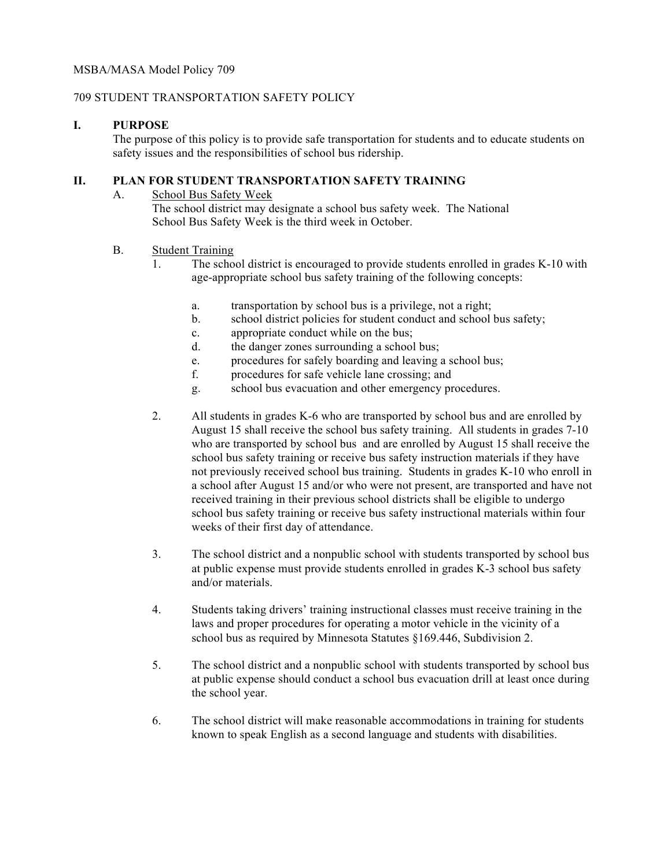#### MSBA/MASA Model Policy 709

#### 709 STUDENT TRANSPORTATION SAFETY POLICY

#### **I. PURPOSE**

The purpose of this policy is to provide safe transportation for students and to educate students on safety issues and the responsibilities of school bus ridership.

## **II. PLAN FOR STUDENT TRANSPORTATION SAFETY TRAINING**

#### A. School Bus Safety Week The school district may designate a school bus safety week. The National School Bus Safety Week is the third week in October.

## B. Student Training

- 1. The school district is encouraged to provide students enrolled in grades K-10 with age-appropriate school bus safety training of the following concepts:
	- a. transportation by school bus is a privilege, not a right;
	- b. school district policies for student conduct and school bus safety;
	- c. appropriate conduct while on the bus;
	- d. the danger zones surrounding a school bus;
	- e. procedures for safely boarding and leaving a school bus;
	- f. procedures for safe vehicle lane crossing; and
	- g. school bus evacuation and other emergency procedures.
- 2. All students in grades K-6 who are transported by school bus and are enrolled by August 15 shall receive the school bus safety training. All students in grades 7-10 who are transported by school bus and are enrolled by August 15 shall receive the school bus safety training or receive bus safety instruction materials if they have not previously received school bus training. Students in grades K-10 who enroll in a school after August 15 and/or who were not present, are transported and have not received training in their previous school districts shall be eligible to undergo school bus safety training or receive bus safety instructional materials within four weeks of their first day of attendance.
- 3. The school district and a nonpublic school with students transported by school bus at public expense must provide students enrolled in grades K-3 school bus safety and/or materials.
- 4. Students taking drivers' training instructional classes must receive training in the laws and proper procedures for operating a motor vehicle in the vicinity of a school bus as required by Minnesota Statutes §169.446, Subdivision 2.
- 5. The school district and a nonpublic school with students transported by school bus at public expense should conduct a school bus evacuation drill at least once during the school year.
- 6. The school district will make reasonable accommodations in training for students known to speak English as a second language and students with disabilities.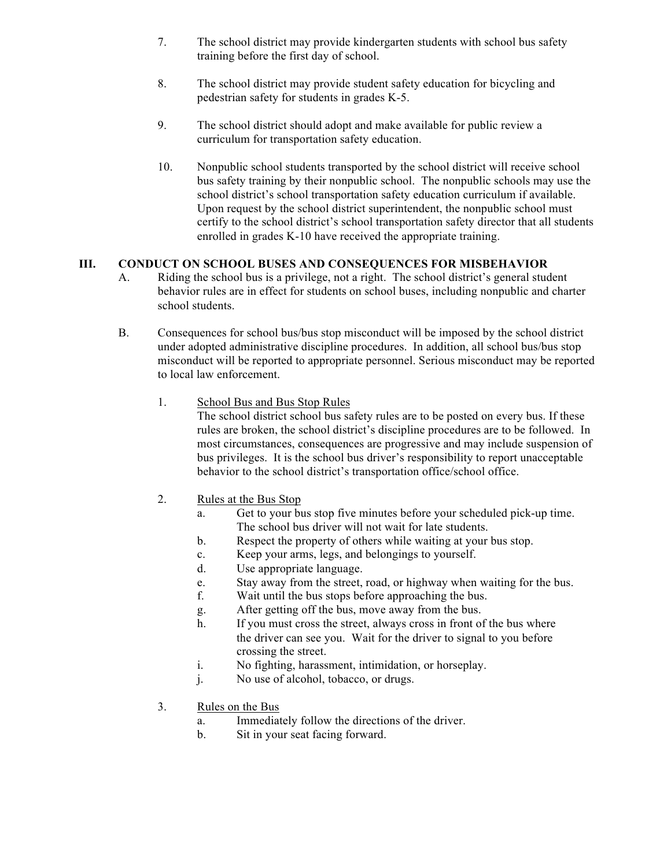- 7. The school district may provide kindergarten students with school bus safety training before the first day of school.
- 8. The school district may provide student safety education for bicycling and pedestrian safety for students in grades K-5.
- 9. The school district should adopt and make available for public review a curriculum for transportation safety education.
- 10. Nonpublic school students transported by the school district will receive school bus safety training by their nonpublic school. The nonpublic schools may use the school district's school transportation safety education curriculum if available. Upon request by the school district superintendent, the nonpublic school must certify to the school district's school transportation safety director that all students enrolled in grades K-10 have received the appropriate training.

# **III. CONDUCT ON SCHOOL BUSES AND CONSEQUENCES FOR MISBEHAVIOR**

- A. Riding the school bus is a privilege, not a right. The school district's general student behavior rules are in effect for students on school buses, including nonpublic and charter school students.
- B. Consequences for school bus/bus stop misconduct will be imposed by the school district under adopted administrative discipline procedures. In addition, all school bus/bus stop misconduct will be reported to appropriate personnel. Serious misconduct may be reported to local law enforcement.
	- 1. School Bus and Bus Stop Rules

The school district school bus safety rules are to be posted on every bus. If these rules are broken, the school district's discipline procedures are to be followed. In most circumstances, consequences are progressive and may include suspension of bus privileges. It is the school bus driver's responsibility to report unacceptable behavior to the school district's transportation office/school office.

- 2. Rules at the Bus Stop
	- a. Get to your bus stop five minutes before your scheduled pick-up time. The school bus driver will not wait for late students.
	- b. Respect the property of others while waiting at your bus stop.
	- c. Keep your arms, legs, and belongings to yourself.
	- d. Use appropriate language.
	- e. Stay away from the street, road, or highway when waiting for the bus.
	- f. Wait until the bus stops before approaching the bus.
	- g. After getting off the bus, move away from the bus.
	- h. If you must cross the street, always cross in front of the bus where the driver can see you. Wait for the driver to signal to you before crossing the street.
	- i. No fighting, harassment, intimidation, or horseplay.
	- j. No use of alcohol, tobacco, or drugs.
- 3. Rules on the Bus
	- a. Immediately follow the directions of the driver.
	- b. Sit in your seat facing forward.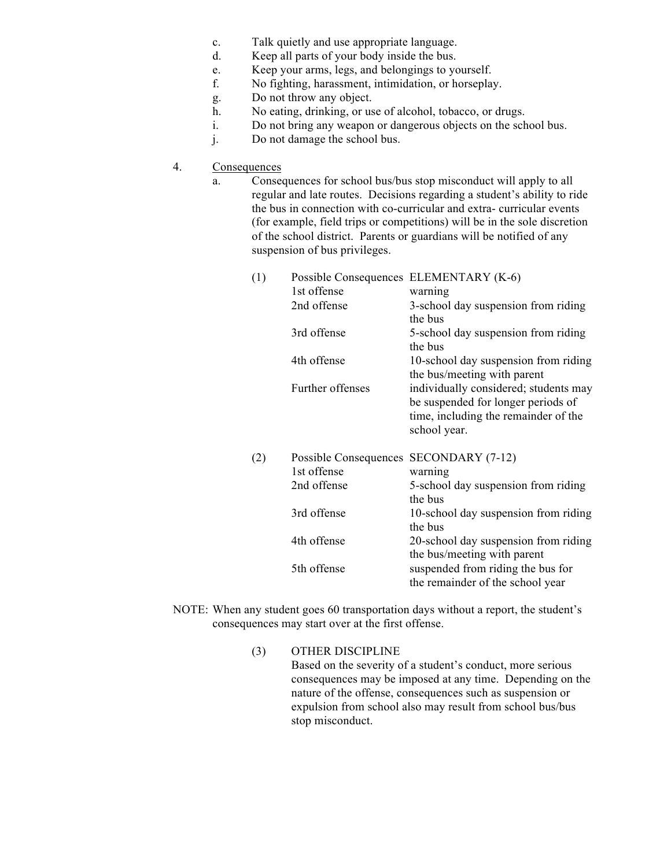- c. Talk quietly and use appropriate language.
- d. Keep all parts of your body inside the bus.
- e. Keep your arms, legs, and belongings to yourself.
- f. No fighting, harassment, intimidation, or horseplay.
- g. Do not throw any object.
- h. No eating, drinking, or use of alcohol, tobacco, or drugs.
- i. Do not bring any weapon or dangerous objects on the school bus.
- j. Do not damage the school bus.
- 4. Consequences
	- a. Consequences for school bus/bus stop misconduct will apply to all regular and late routes. Decisions regarding a student's ability to ride the bus in connection with co-curricular and extra- curricular events (for example, field trips or competitions) will be in the sole discretion of the school district. Parents or guardians will be notified of any suspension of bus privileges.

| (1) | Possible Consequences | ELEMENTARY (K-6)                      |
|-----|-----------------------|---------------------------------------|
|     | 1st offense           | warning                               |
|     | 2nd offense           | 3-school day suspension from riding   |
|     |                       | the bus                               |
|     | 3rd offense           | 5-school day suspension from riding   |
|     |                       | the bus                               |
|     | 4th offense           | 10-school day suspension from riding  |
|     |                       | the bus/meeting with parent           |
|     | Further offenses      | individually considered; students may |
|     |                       | be suspended for longer periods of    |
|     |                       | time, including the remainder of the  |
|     |                       | school year.                          |
| (2) | Possible Consequences | SECONDARY (7-12)                      |
|     | 1st offense           | warning                               |
|     | 2nd offense           | 5-school day suspension from riding   |
|     |                       | the bus                               |
|     | 3rd offense           | 10-school day suspension from riding  |
|     |                       | the bus                               |
|     | 4th offense           | 20-school day suspension from riding  |

|             | the bus/meeting with parent       |
|-------------|-----------------------------------|
| 5th offense | suspended from riding the bus for |
|             | the remainder of the school year  |
|             |                                   |

- NOTE: When any student goes 60 transportation days without a report, the student's consequences may start over at the first offense.
	- (3) OTHER DISCIPLINE Based on the severity of a student's conduct, more serious consequences may be imposed at any time. Depending on the nature of the offense, consequences such as suspension or expulsion from school also may result from school bus/bus stop misconduct.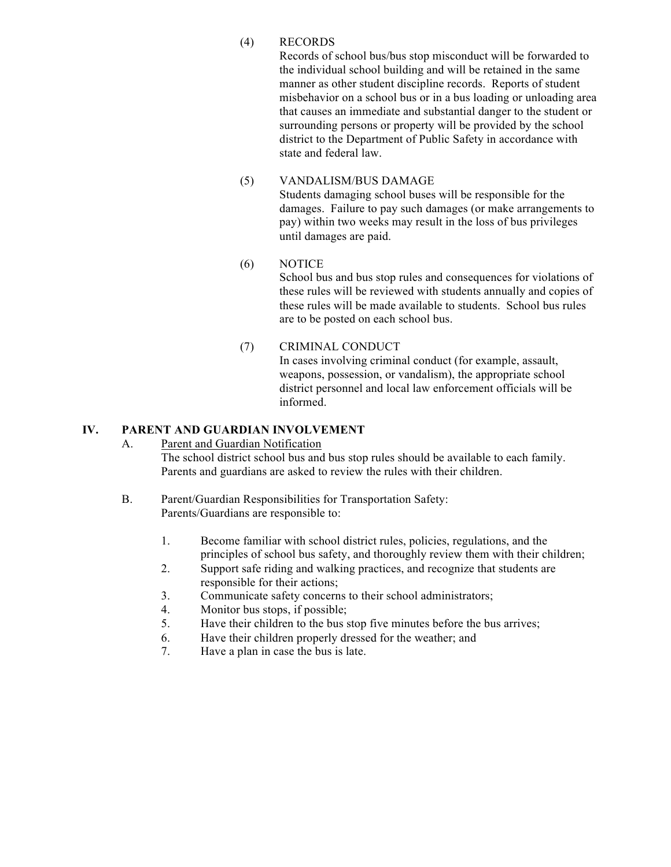## (4) RECORDS

Records of school bus/bus stop misconduct will be forwarded to the individual school building and will be retained in the same manner as other student discipline records. Reports of student misbehavior on a school bus or in a bus loading or unloading area that causes an immediate and substantial danger to the student or surrounding persons or property will be provided by the school district to the Department of Public Safety in accordance with state and federal law.

# (5) VANDALISM/BUS DAMAGE

Students damaging school buses will be responsible for the damages. Failure to pay such damages (or make arrangements to pay) within two weeks may result in the loss of bus privileges until damages are paid.

## (6) NOTICE

School bus and bus stop rules and consequences for violations of these rules will be reviewed with students annually and copies of these rules will be made available to students. School bus rules are to be posted on each school bus.

(7) CRIMINAL CONDUCT

In cases involving criminal conduct (for example, assault, weapons, possession, or vandalism), the appropriate school district personnel and local law enforcement officials will be informed.

# **IV. PARENT AND GUARDIAN INVOLVEMENT**

#### A. Parent and Guardian Notification

The school district school bus and bus stop rules should be available to each family. Parents and guardians are asked to review the rules with their children.

- B. Parent/Guardian Responsibilities for Transportation Safety: Parents/Guardians are responsible to:
	- 1. Become familiar with school district rules, policies, regulations, and the principles of school bus safety, and thoroughly review them with their children;
	- 2. Support safe riding and walking practices, and recognize that students are responsible for their actions;
	- 3. Communicate safety concerns to their school administrators;
	- 4. Monitor bus stops, if possible;
	- 5. Have their children to the bus stop five minutes before the bus arrives;
	- 6. Have their children properly dressed for the weather; and
	- 7. Have a plan in case the bus is late.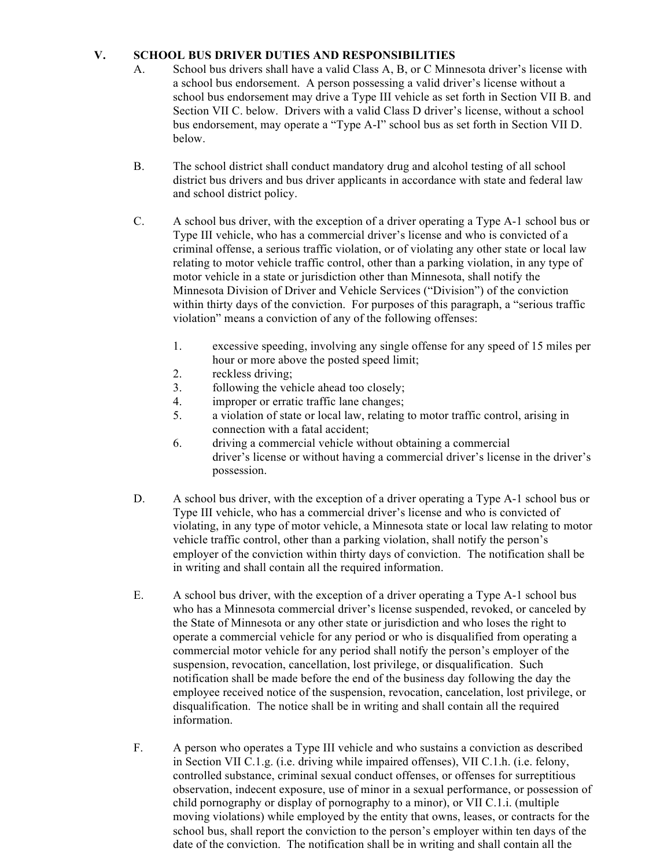# **V. SCHOOL BUS DRIVER DUTIES AND RESPONSIBILITIES**

- A. School bus drivers shall have a valid Class A, B, or C Minnesota driver's license with a school bus endorsement. A person possessing a valid driver's license without a school bus endorsement may drive a Type III vehicle as set forth in Section VII B. and Section VII C. below. Drivers with a valid Class D driver's license, without a school bus endorsement, may operate a "Type A-I" school bus as set forth in Section VII D. below.
- B. The school district shall conduct mandatory drug and alcohol testing of all school district bus drivers and bus driver applicants in accordance with state and federal law and school district policy.
- C. A school bus driver, with the exception of a driver operating a Type A-1 school bus or Type III vehicle, who has a commercial driver's license and who is convicted of a criminal offense, a serious traffic violation, or of violating any other state or local law relating to motor vehicle traffic control, other than a parking violation, in any type of motor vehicle in a state or jurisdiction other than Minnesota, shall notify the Minnesota Division of Driver and Vehicle Services ("Division") of the conviction within thirty days of the conviction. For purposes of this paragraph, a "serious traffic violation" means a conviction of any of the following offenses:
	- 1. excessive speeding, involving any single offense for any speed of 15 miles per hour or more above the posted speed limit;
	- 2. reckless driving;
	- 3. following the vehicle ahead too closely;
	- 4. improper or erratic traffic lane changes;
	- 5. a violation of state or local law, relating to motor traffic control, arising in connection with a fatal accident;
	- 6. driving a commercial vehicle without obtaining a commercial driver's license or without having a commercial driver's license in the driver's possession.
- D. A school bus driver, with the exception of a driver operating a Type A-1 school bus or Type III vehicle, who has a commercial driver's license and who is convicted of violating, in any type of motor vehicle, a Minnesota state or local law relating to motor vehicle traffic control, other than a parking violation, shall notify the person's employer of the conviction within thirty days of conviction. The notification shall be in writing and shall contain all the required information.
- E. A school bus driver, with the exception of a driver operating a Type A-1 school bus who has a Minnesota commercial driver's license suspended, revoked, or canceled by the State of Minnesota or any other state or jurisdiction and who loses the right to operate a commercial vehicle for any period or who is disqualified from operating a commercial motor vehicle for any period shall notify the person's employer of the suspension, revocation, cancellation, lost privilege, or disqualification. Such notification shall be made before the end of the business day following the day the employee received notice of the suspension, revocation, cancelation, lost privilege, or disqualification. The notice shall be in writing and shall contain all the required information.
- F. A person who operates a Type III vehicle and who sustains a conviction as described in Section VII C.1.g. (i.e. driving while impaired offenses), VII C.1.h. (i.e. felony, controlled substance, criminal sexual conduct offenses, or offenses for surreptitious observation, indecent exposure, use of minor in a sexual performance, or possession of child pornography or display of pornography to a minor), or VII C.1.i. (multiple moving violations) while employed by the entity that owns, leases, or contracts for the school bus, shall report the conviction to the person's employer within ten days of the date of the conviction. The notification shall be in writing and shall contain all the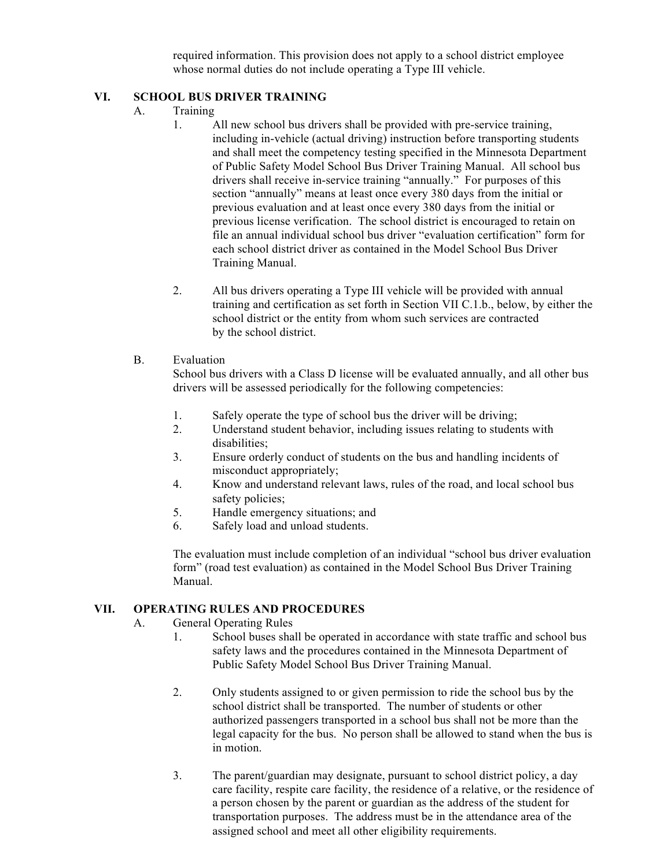required information. This provision does not apply to a school district employee whose normal duties do not include operating a Type III vehicle.

#### **VI. SCHOOL BUS DRIVER TRAINING**

- A. Training
	- 1. All new school bus drivers shall be provided with pre-service training, including in-vehicle (actual driving) instruction before transporting students and shall meet the competency testing specified in the Minnesota Department of Public Safety Model School Bus Driver Training Manual. All school bus drivers shall receive in-service training "annually." For purposes of this section "annually" means at least once every 380 days from the initial or previous evaluation and at least once every 380 days from the initial or previous license verification. The school district is encouraged to retain on file an annual individual school bus driver "evaluation certification" form for each school district driver as contained in the Model School Bus Driver Training Manual.
	- 2. All bus drivers operating a Type III vehicle will be provided with annual training and certification as set forth in Section VII C.1.b., below, by either the school district or the entity from whom such services are contracted by the school district.

# B. Evaluation

School bus drivers with a Class D license will be evaluated annually, and all other bus drivers will be assessed periodically for the following competencies:

- 1. Safely operate the type of school bus the driver will be driving;
- 2. Understand student behavior, including issues relating to students with disabilities;
- 3. Ensure orderly conduct of students on the bus and handling incidents of misconduct appropriately;
- 4. Know and understand relevant laws, rules of the road, and local school bus safety policies;
- 5. Handle emergency situations; and
- 6. Safely load and unload students.

The evaluation must include completion of an individual "school bus driver evaluation form" (road test evaluation) as contained in the Model School Bus Driver Training Manual.

# **VII. OPERATING RULES AND PROCEDURES**

- A. General Operating Rules
	- 1. School buses shall be operated in accordance with state traffic and school bus safety laws and the procedures contained in the Minnesota Department of Public Safety Model School Bus Driver Training Manual.
	- 2. Only students assigned to or given permission to ride the school bus by the school district shall be transported. The number of students or other authorized passengers transported in a school bus shall not be more than the legal capacity for the bus. No person shall be allowed to stand when the bus is in motion.
	- 3. The parent/guardian may designate, pursuant to school district policy, a day care facility, respite care facility, the residence of a relative, or the residence of a person chosen by the parent or guardian as the address of the student for transportation purposes. The address must be in the attendance area of the assigned school and meet all other eligibility requirements.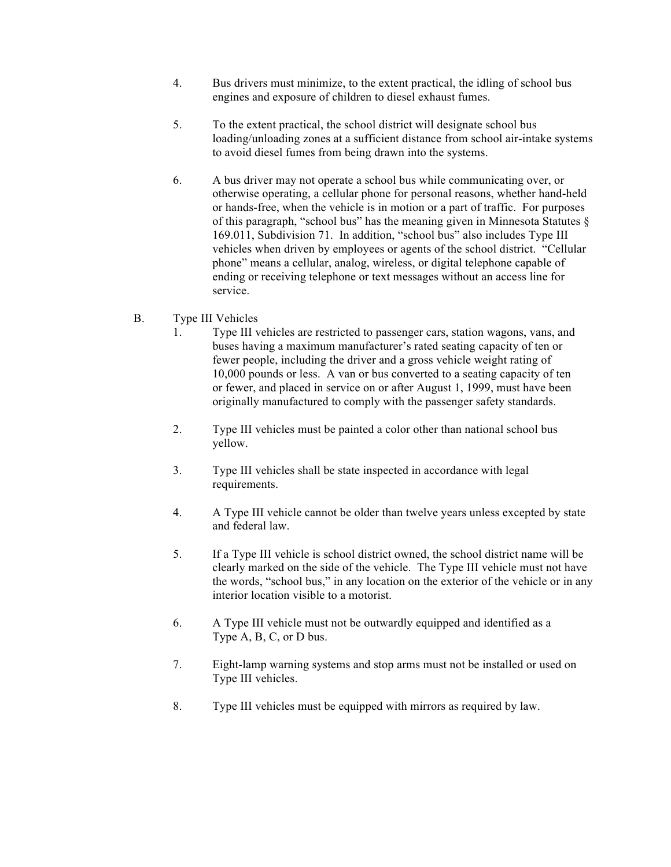- 4. Bus drivers must minimize, to the extent practical, the idling of school bus engines and exposure of children to diesel exhaust fumes.
- 5. To the extent practical, the school district will designate school bus loading/unloading zones at a sufficient distance from school air-intake systems to avoid diesel fumes from being drawn into the systems.
- 6. A bus driver may not operate a school bus while communicating over, or otherwise operating, a cellular phone for personal reasons, whether hand-held or hands-free, when the vehicle is in motion or a part of traffic. For purposes of this paragraph, "school bus" has the meaning given in Minnesota Statutes § 169.011, Subdivision 71. In addition, "school bus" also includes Type III vehicles when driven by employees or agents of the school district. "Cellular phone" means a cellular, analog, wireless, or digital telephone capable of ending or receiving telephone or text messages without an access line for service.
- B. Type III Vehicles
	- 1. Type III vehicles are restricted to passenger cars, station wagons, vans, and buses having a maximum manufacturer's rated seating capacity of ten or fewer people, including the driver and a gross vehicle weight rating of 10,000 pounds or less. A van or bus converted to a seating capacity of ten or fewer, and placed in service on or after August 1, 1999, must have been originally manufactured to comply with the passenger safety standards.
	- 2. Type III vehicles must be painted a color other than national school bus yellow.
	- 3. Type III vehicles shall be state inspected in accordance with legal requirements.
	- 4. A Type III vehicle cannot be older than twelve years unless excepted by state and federal law.
	- 5. If a Type III vehicle is school district owned, the school district name will be clearly marked on the side of the vehicle. The Type III vehicle must not have the words, "school bus," in any location on the exterior of the vehicle or in any interior location visible to a motorist.
	- 6. A Type III vehicle must not be outwardly equipped and identified as a Type A, B, C, or D bus.
	- 7. Eight-lamp warning systems and stop arms must not be installed or used on Type III vehicles.
	- 8. Type III vehicles must be equipped with mirrors as required by law.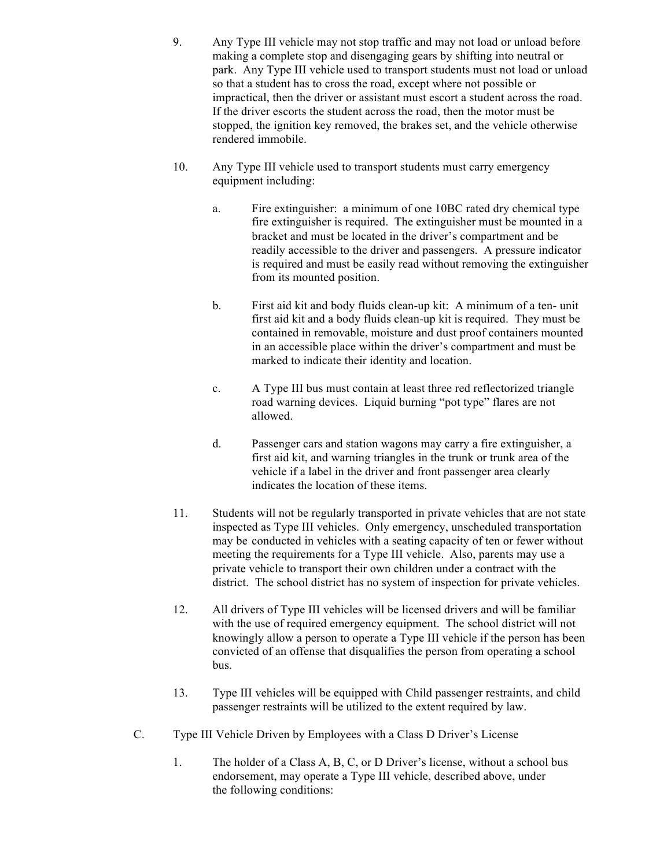- 9. Any Type III vehicle may not stop traffic and may not load or unload before making a complete stop and disengaging gears by shifting into neutral or park. Any Type III vehicle used to transport students must not load or unload so that a student has to cross the road, except where not possible or impractical, then the driver or assistant must escort a student across the road. If the driver escorts the student across the road, then the motor must be stopped, the ignition key removed, the brakes set, and the vehicle otherwise rendered immobile.
- 10. Any Type III vehicle used to transport students must carry emergency equipment including:
	- a. Fire extinguisher: a minimum of one 10BC rated dry chemical type fire extinguisher is required. The extinguisher must be mounted in a bracket and must be located in the driver's compartment and be readily accessible to the driver and passengers. A pressure indicator is required and must be easily read without removing the extinguisher from its mounted position.
	- b. First aid kit and body fluids clean-up kit: A minimum of a ten- unit first aid kit and a body fluids clean-up kit is required. They must be contained in removable, moisture and dust proof containers mounted in an accessible place within the driver's compartment and must be marked to indicate their identity and location.
	- c. A Type III bus must contain at least three red reflectorized triangle road warning devices. Liquid burning "pot type" flares are not allowed.
	- d. Passenger cars and station wagons may carry a fire extinguisher, a first aid kit, and warning triangles in the trunk or trunk area of the vehicle if a label in the driver and front passenger area clearly indicates the location of these items.
- 11. Students will not be regularly transported in private vehicles that are not state inspected as Type III vehicles. Only emergency, unscheduled transportation may be conducted in vehicles with a seating capacity of ten or fewer without meeting the requirements for a Type III vehicle. Also, parents may use a private vehicle to transport their own children under a contract with the district. The school district has no system of inspection for private vehicles.
- 12. All drivers of Type III vehicles will be licensed drivers and will be familiar with the use of required emergency equipment. The school district will not knowingly allow a person to operate a Type III vehicle if the person has been convicted of an offense that disqualifies the person from operating a school bus.
- 13. Type III vehicles will be equipped with Child passenger restraints, and child passenger restraints will be utilized to the extent required by law.
- C. Type III Vehicle Driven by Employees with a Class D Driver's License
	- 1. The holder of a Class A, B, C, or D Driver's license, without a school bus endorsement, may operate a Type III vehicle, described above, under the following conditions: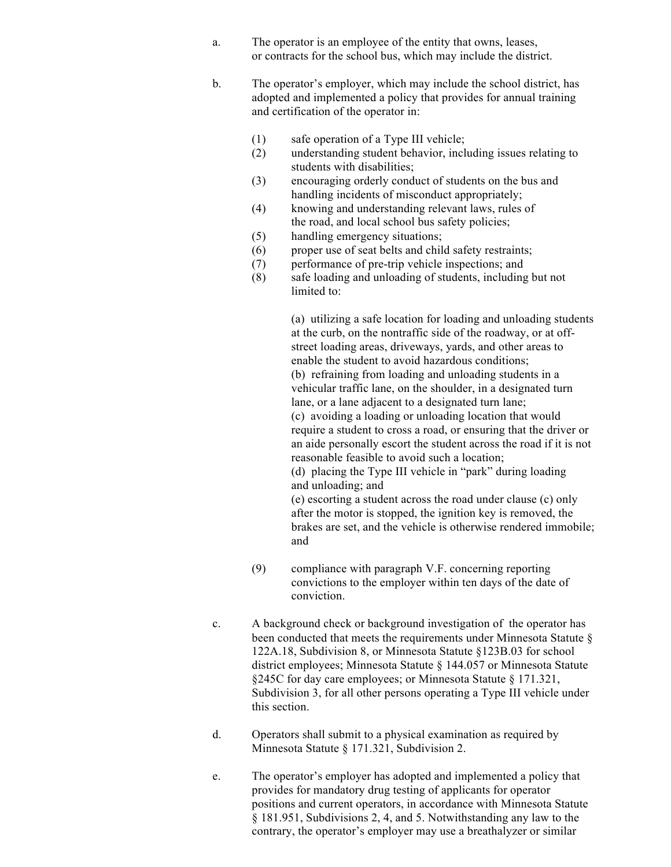- a. The operator is an employee of the entity that owns, leases, or contracts for the school bus, which may include the district.
- b. The operator's employer, which may include the school district, has adopted and implemented a policy that provides for annual training and certification of the operator in:
	- (1) safe operation of a Type III vehicle;
	- (2) understanding student behavior, including issues relating to students with disabilities;
	- (3) encouraging orderly conduct of students on the bus and handling incidents of misconduct appropriately;
	- (4) knowing and understanding relevant laws, rules of the road, and local school bus safety policies;
	- (5) handling emergency situations;
	- (6) proper use of seat belts and child safety restraints;
	- (7) performance of pre-trip vehicle inspections; and
	- (8) safe loading and unloading of students, including but not limited to:

(a) utilizing a safe location for loading and unloading students at the curb, on the nontraffic side of the roadway, or at offstreet loading areas, driveways, yards, and other areas to enable the student to avoid hazardous conditions; (b) refraining from loading and unloading students in a vehicular traffic lane, on the shoulder, in a designated turn lane, or a lane adjacent to a designated turn lane; (c) avoiding a loading or unloading location that would require a student to cross a road, or ensuring that the driver or an aide personally escort the student across the road if it is not reasonable feasible to avoid such a location; (d) placing the Type III vehicle in "park" during loading and unloading; and (e) escorting a student across the road under clause (c) only

after the motor is stopped, the ignition key is removed, the brakes are set, and the vehicle is otherwise rendered immobile; and

- (9) compliance with paragraph V.F. concerning reporting convictions to the employer within ten days of the date of conviction.
- c. A background check or background investigation of the operator has been conducted that meets the requirements under Minnesota Statute § 122A.18, Subdivision 8, or Minnesota Statute §123B.03 for school district employees; Minnesota Statute § 144.057 or Minnesota Statute §245C for day care employees; or Minnesota Statute § 171.321, Subdivision 3, for all other persons operating a Type III vehicle under this section.
- d. Operators shall submit to a physical examination as required by Minnesota Statute § 171.321, Subdivision 2.
- e. The operator's employer has adopted and implemented a policy that provides for mandatory drug testing of applicants for operator positions and current operators, in accordance with Minnesota Statute § 181.951, Subdivisions 2, 4, and 5. Notwithstanding any law to the contrary, the operator's employer may use a breathalyzer or similar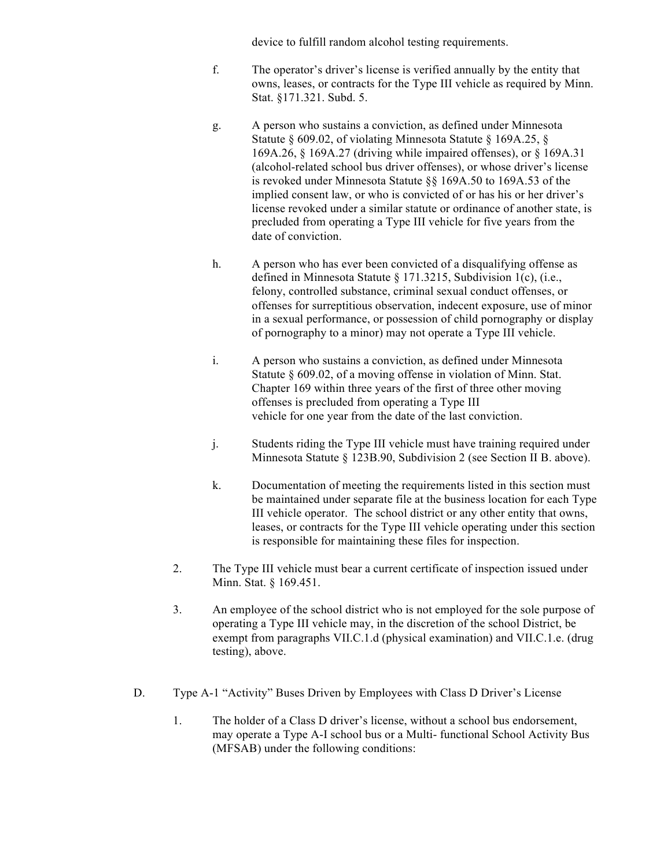device to fulfill random alcohol testing requirements.

- f. The operator's driver's license is verified annually by the entity that owns, leases, or contracts for the Type III vehicle as required by Minn. Stat. §171.321. Subd. 5.
- g. A person who sustains a conviction, as defined under Minnesota Statute § 609.02, of violating Minnesota Statute § 169A.25, § 169A.26, § 169A.27 (driving while impaired offenses), or § 169A.31 (alcohol-related school bus driver offenses), or whose driver's license is revoked under Minnesota Statute §§ 169A.50 to 169A.53 of the implied consent law, or who is convicted of or has his or her driver's license revoked under a similar statute or ordinance of another state, is precluded from operating a Type III vehicle for five years from the date of conviction.
- h. A person who has ever been convicted of a disqualifying offense as defined in Minnesota Statute § 171.3215, Subdivision 1(c), (i.e., felony, controlled substance, criminal sexual conduct offenses, or offenses for surreptitious observation, indecent exposure, use of minor in a sexual performance, or possession of child pornography or display of pornography to a minor) may not operate a Type III vehicle.
- i. A person who sustains a conviction, as defined under Minnesota Statute § 609.02, of a moving offense in violation of Minn. Stat. Chapter 169 within three years of the first of three other moving offenses is precluded from operating a Type III vehicle for one year from the date of the last conviction.
- j. Students riding the Type III vehicle must have training required under Minnesota Statute § 123B.90, Subdivision 2 (see Section II B. above).
- k. Documentation of meeting the requirements listed in this section must be maintained under separate file at the business location for each Type III vehicle operator. The school district or any other entity that owns, leases, or contracts for the Type III vehicle operating under this section is responsible for maintaining these files for inspection.
- 2. The Type III vehicle must bear a current certificate of inspection issued under Minn. Stat. § 169.451.
- 3. An employee of the school district who is not employed for the sole purpose of operating a Type III vehicle may, in the discretion of the school District, be exempt from paragraphs VII.C.1.d (physical examination) and VII.C.1.e. (drug testing), above.
- D. Type A-1 "Activity" Buses Driven by Employees with Class D Driver's License
	- 1. The holder of a Class D driver's license, without a school bus endorsement, may operate a Type A-I school bus or a Multi- functional School Activity Bus (MFSAB) under the following conditions: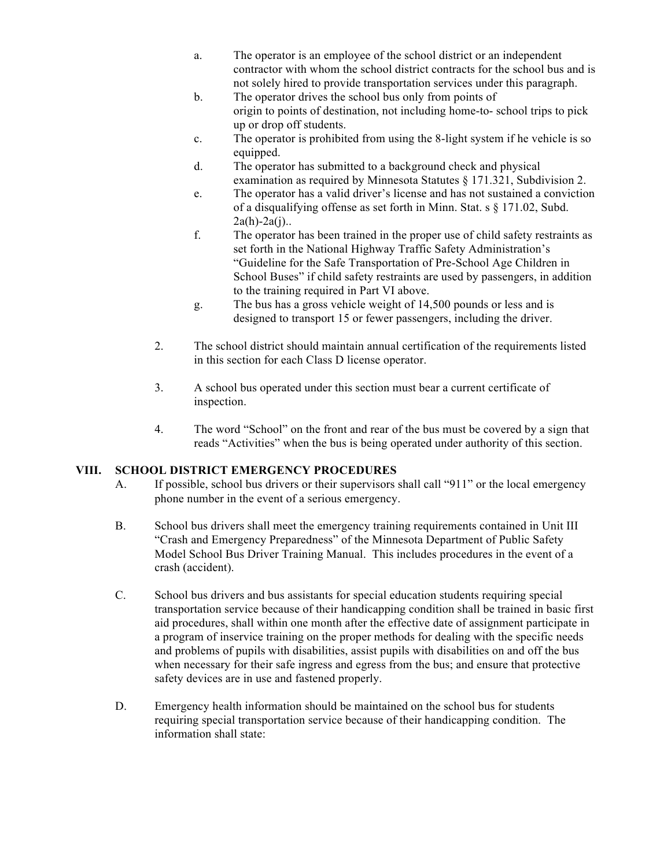- a. The operator is an employee of the school district or an independent contractor with whom the school district contracts for the school bus and is not solely hired to provide transportation services under this paragraph.
- b. The operator drives the school bus only from points of origin to points of destination, not including home-to- school trips to pick up or drop off students.
- c. The operator is prohibited from using the 8-light system if he vehicle is so equipped.
- d. The operator has submitted to a background check and physical examination as required by Minnesota Statutes § 171.321, Subdivision 2.
- e. The operator has a valid driver's license and has not sustained a conviction of a disqualifying offense as set forth in Minn. Stat. s § 171.02, Subd.  $2a(h)-2a(j)$ ...
- f. The operator has been trained in the proper use of child safety restraints as set forth in the National Highway Traffic Safety Administration's "Guideline for the Safe Transportation of Pre-School Age Children in School Buses" if child safety restraints are used by passengers, in addition to the training required in Part VI above.
- g. The bus has a gross vehicle weight of 14,500 pounds or less and is designed to transport 15 or fewer passengers, including the driver.
- 2. The school district should maintain annual certification of the requirements listed in this section for each Class D license operator.
- 3. A school bus operated under this section must bear a current certificate of inspection.
- 4. The word "School" on the front and rear of the bus must be covered by a sign that reads "Activities" when the bus is being operated under authority of this section.

# **VIII. SCHOOL DISTRICT EMERGENCY PROCEDURES**

- A. If possible, school bus drivers or their supervisors shall call "911" or the local emergency phone number in the event of a serious emergency.
- B. School bus drivers shall meet the emergency training requirements contained in Unit III "Crash and Emergency Preparedness" of the Minnesota Department of Public Safety Model School Bus Driver Training Manual. This includes procedures in the event of a crash (accident).
- C. School bus drivers and bus assistants for special education students requiring special transportation service because of their handicapping condition shall be trained in basic first aid procedures, shall within one month after the effective date of assignment participate in a program of inservice training on the proper methods for dealing with the specific needs and problems of pupils with disabilities, assist pupils with disabilities on and off the bus when necessary for their safe ingress and egress from the bus; and ensure that protective safety devices are in use and fastened properly.
- D. Emergency health information should be maintained on the school bus for students requiring special transportation service because of their handicapping condition. The information shall state: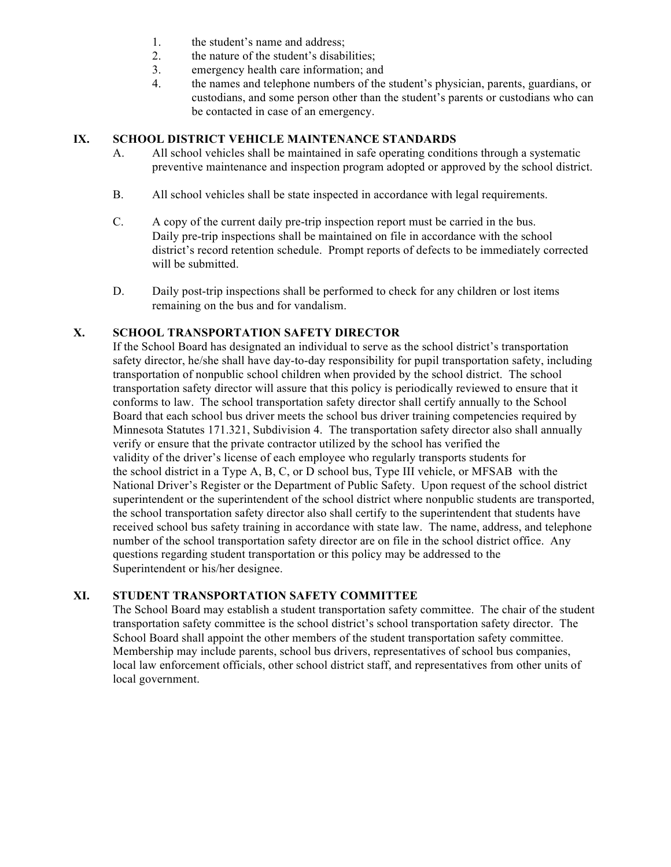- 1. the student's name and address;
- 2. the nature of the student's disabilities;
- 3. emergency health care information; and
- 4. the names and telephone numbers of the student's physician, parents, guardians, or custodians, and some person other than the student's parents or custodians who can be contacted in case of an emergency.

## **IX. SCHOOL DISTRICT VEHICLE MAINTENANCE STANDARDS**

- A. All school vehicles shall be maintained in safe operating conditions through a systematic preventive maintenance and inspection program adopted or approved by the school district.
- B. All school vehicles shall be state inspected in accordance with legal requirements.
- C. A copy of the current daily pre-trip inspection report must be carried in the bus. Daily pre-trip inspections shall be maintained on file in accordance with the school district's record retention schedule. Prompt reports of defects to be immediately corrected will be submitted.
- D. Daily post-trip inspections shall be performed to check for any children or lost items remaining on the bus and for vandalism.

## **X. SCHOOL TRANSPORTATION SAFETY DIRECTOR**

If the School Board has designated an individual to serve as the school district's transportation safety director, he/she shall have day-to-day responsibility for pupil transportation safety, including transportation of nonpublic school children when provided by the school district. The school transportation safety director will assure that this policy is periodically reviewed to ensure that it conforms to law. The school transportation safety director shall certify annually to the School Board that each school bus driver meets the school bus driver training competencies required by Minnesota Statutes 171.321, Subdivision 4. The transportation safety director also shall annually verify or ensure that the private contractor utilized by the school has verified the validity of the driver's license of each employee who regularly transports students for the school district in a Type A, B, C, or D school bus, Type III vehicle, or MFSAB with the National Driver's Register or the Department of Public Safety. Upon request of the school district superintendent or the superintendent of the school district where nonpublic students are transported, the school transportation safety director also shall certify to the superintendent that students have received school bus safety training in accordance with state law. The name, address, and telephone number of the school transportation safety director are on file in the school district office. Any questions regarding student transportation or this policy may be addressed to the Superintendent or his/her designee.

# **XI. STUDENT TRANSPORTATION SAFETY COMMITTEE**

The School Board may establish a student transportation safety committee. The chair of the student transportation safety committee is the school district's school transportation safety director. The School Board shall appoint the other members of the student transportation safety committee. Membership may include parents, school bus drivers, representatives of school bus companies, local law enforcement officials, other school district staff, and representatives from other units of local government.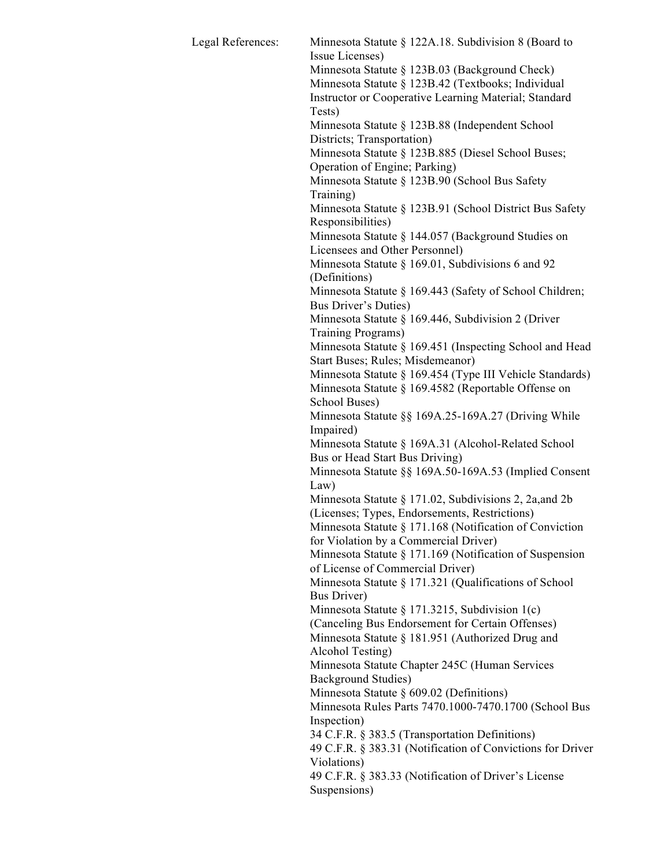| Legal References: | Minnesota Statute § 122A.18. Subdivision 8 (Board to                            |
|-------------------|---------------------------------------------------------------------------------|
|                   | Issue Licenses)                                                                 |
|                   | Minnesota Statute § 123B.03 (Background Check)                                  |
|                   | Minnesota Statute § 123B.42 (Textbooks; Individual                              |
|                   | Instructor or Cooperative Learning Material; Standard<br>Tests)                 |
|                   | Minnesota Statute § 123B.88 (Independent School                                 |
|                   | Districts; Transportation)                                                      |
|                   | Minnesota Statute § 123B.885 (Diesel School Buses;                              |
|                   | Operation of Engine; Parking)                                                   |
|                   | Minnesota Statute § 123B.90 (School Bus Safety<br>Training)                     |
|                   | Minnesota Statute § 123B.91 (School District Bus Safety                         |
|                   | Responsibilities)                                                               |
|                   | Minnesota Statute § 144.057 (Background Studies on                              |
|                   | Licensees and Other Personnel)                                                  |
|                   | Minnesota Statute § 169.01, Subdivisions 6 and 92<br>(Definitions)              |
|                   | Minnesota Statute § 169.443 (Safety of School Children;<br>Bus Driver's Duties) |
|                   | Minnesota Statute § 169.446, Subdivision 2 (Driver                              |
|                   | Training Programs)                                                              |
|                   | Minnesota Statute § 169.451 (Inspecting School and Head                         |
|                   | Start Buses; Rules; Misdemeanor)                                                |
|                   | Minnesota Statute § 169.454 (Type III Vehicle Standards)                        |
|                   | Minnesota Statute § 169.4582 (Reportable Offense on                             |
|                   | School Buses)                                                                   |
|                   | Minnesota Statute §§ 169A.25-169A.27 (Driving While                             |
|                   | Impaired)                                                                       |
|                   | Minnesota Statute § 169A.31 (Alcohol-Related School                             |
|                   | Bus or Head Start Bus Driving)                                                  |
|                   | Minnesota Statute §§ 169A.50-169A.53 (Implied Consent                           |
|                   | Law)                                                                            |
|                   | Minnesota Statute § 171.02, Subdivisions 2, 2a, and 2b                          |
|                   | (Licenses; Types, Endorsements, Restrictions)                                   |
|                   | Minnesota Statute § 171.168 (Notification of Conviction                         |
|                   | for Violation by a Commercial Driver)                                           |
|                   | Minnesota Statute § 171.169 (Notification of Suspension                         |
|                   | of License of Commercial Driver)                                                |
|                   | Minnesota Statute § 171.321 (Qualifications of School                           |
|                   | <b>Bus Driver</b> )                                                             |
|                   | Minnesota Statute § 171.3215, Subdivision 1(c)                                  |
|                   | (Canceling Bus Endorsement for Certain Offenses)                                |
|                   | Minnesota Statute § 181.951 (Authorized Drug and                                |
|                   | Alcohol Testing)                                                                |
|                   | Minnesota Statute Chapter 245C (Human Services                                  |
|                   | Background Studies)                                                             |
|                   | Minnesota Statute § 609.02 (Definitions)                                        |
|                   | Minnesota Rules Parts 7470.1000-7470.1700 (School Bus                           |
|                   | Inspection)                                                                     |
|                   | 34 C.F.R. § 383.5 (Transportation Definitions)                                  |
|                   | 49 C.F.R. § 383.31 (Notification of Convictions for Driver                      |
|                   | Violations)                                                                     |
|                   | 49 C.F.R. § 383.33 (Notification of Driver's License                            |
|                   | Suspensions)                                                                    |